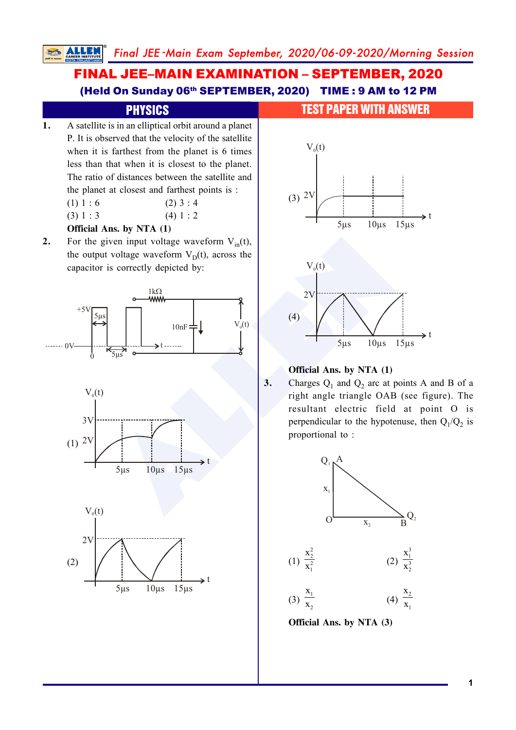# FINAL JEE–MAIN EXAMINATION – SEPTEMBER, 2020 (Held On Sunday 06th SEPTEMBER, 2020) TIME : 9 AM to 12 PM

- **1.** A satellite is in an elliptical orbit around a planet P. It is observed that the velocity of the satellite when it is farthest from the planet is 6 times less than that when it is closest to the planet. The ratio of distances between the satellite and the planet at closest and farthest points is :
	- (1)  $1 : 6$  (2)  $3 : 4$  $(3) 1 : 3$  (4) 1 : 2

### **Official Ans. by NTA (1)**

**2.** For the given input voltage waveform  $V_{in}(t)$ , the output voltage waveform  $V_D(t)$ , across the capacitor is correctly depicted by:







### PHYSICS **TEST PAPER WITH ANSWER**



### **Official Ans. by NTA (1)**

**3.** Charges  $Q_1$  and  $Q_2$  arc at points A and B of a right angle triangle OAB (see figure). The resultant electric field at point O is perpendicular to the hypotenuse, then  $Q_1/Q_2$  is proportional to :



**Official Ans. by NTA (3)**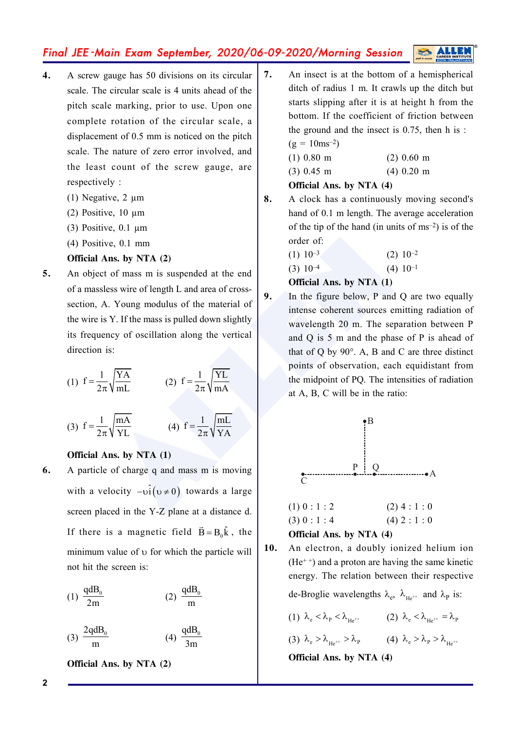- **4.** A screw gauge has 50 divisions on its circular scale. The circular scale is 4 units ahead of the pitch scale marking, prior to use. Upon one complete rotation of the circular scale, a displacement of 0.5 mm is noticed on the pitch scale. The nature of zero error involved, and the least count of the screw gauge, are respectively :
	- (1) Negative, 2 µm
	- (2) Positive, 10 µm
	- (3) Positive,  $0.1 \mu m$
	- (4) Positive, 0.1 mm

### **Official Ans. by NTA (2)**

**5.** An object of mass m is suspended at the end of a massless wire of length L and area of crosssection, A. Young modulus of the material of the wire is Y. If the mass is pulled down slightly its frequency of oscillation along the vertical direction is:

(1) 
$$
f = \frac{1}{2\pi} \sqrt{\frac{YA}{mL}}
$$
 (2)  $f = \frac{1}{2\pi} \sqrt{\frac{YL}{mA}}$ 

(3) 
$$
f = \frac{1}{2\pi} \sqrt{\frac{mA}{YL}}
$$
 (4)  $f = \frac{1}{2\pi} \sqrt{\frac{mL}{YA}}$ 

### **Official Ans. by NTA (1)**

**6.** A particle of charge q and mass m is moving with a velocity  $-vi(v \neq 0)$  towards a large screen placed in the Y-Z plane at a distance d. If there is a magnetic field  $\vec{B} = B_0 \hat{k}$ , the minimum value of  $\nu$  for which the particle will not hit the screen is:

$$
(1) \frac{\text{qdB}_0}{2m} \qquad (2) \frac{\text{qdB}_0}{m}
$$

$$
(3) \frac{2qdB_0}{m} \qquad (4) \frac{qdB_0}{3m}
$$

**Official Ans. by NTA (2)**

**7.** An insect is at the bottom of a hemispherical ditch of radius 1 m. It crawls up the ditch but starts slipping after it is at height h from the bottom. If the coefficient of friction between the ground and the insect is 0.75, then h is :  $(g = 10 \text{ms}^{-2})$ 

(1) 0.80 m (2) 0.60 m (3) 0.45 m (4) 0.20 m

**Official Ans. by NTA (4)**

**8.** A clock has a continuously moving second's hand of 0.1 m length. The average acceleration of the tip of the hand (in units of  $\text{ms}^{-2}$ ) is of the order of:

> $(1)$   $10^{-3}$   $(2)$   $10^{-2}$ (3)  $10^{-4}$  (4)  $10^{-1}$

### **Official Ans. by NTA (1)**

ve, 0.1 mm<br> **ALLENGE SERVITA (2)**<br>
Let of mass m is suspended at the end<br>
less wire of length L and area of cross-<br>
SERVITE (1) 10<sup>-3</sup> (2) 10<sup>-4</sup> (4) 10-<br>
CONTIGE ALLENGE SAME ALLENGE SAME ALLENGE SAME ALLENGE SAME ALLENG **9.** In the figure below, P and Q are two equally intense coherent sources emitting radiation of wavelength 20 m. The separation between P and Q is 5 m and the phase of P is ahead of that of Q by 90°. A, B and C are three distinct points of observation, each equidistant from the midpoint of PQ. The intensities of radiation at A, B, C will be in the ratio:



### **Official Ans. by NTA (4)**

**10.** An electron, a doubly ionized helium ion  $(He<sup>++</sup>)$  and a proton are having the same kinetic energy. The relation between their respective

de-Broglie wavelengths  $\lambda_e$ ,  $\lambda_{He^{++}}$  and  $\lambda_p$  is:

- (1)  $\lambda_e < \lambda_p < \lambda_{He^{++}}$  (2)  $\lambda_e < \lambda_{He^{++}} = \lambda_p$
- (3)  $\lambda_e > \lambda_{\mu_{e^{++}}} > \lambda_p$  (4)  $\lambda_e > \lambda_p > \lambda_{\mu_{e^{++}}}$

**Official Ans. by NTA (4)**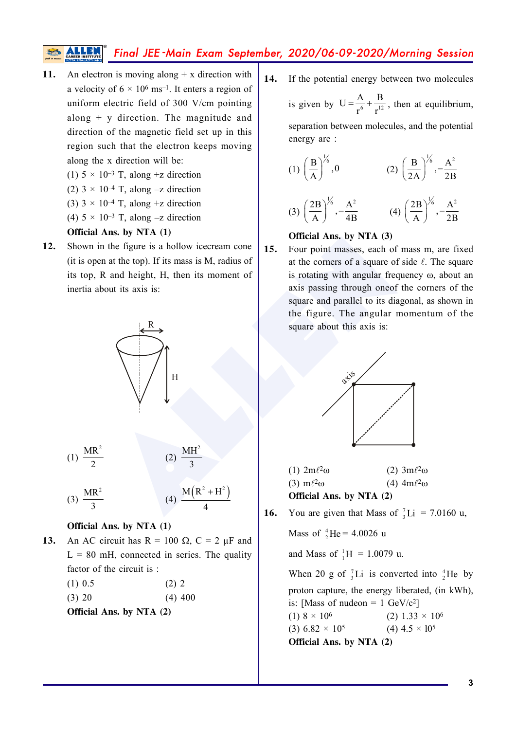- 11. An electron is moving along + x direction with a velocity of  $6 \times 10^6$  ms<sup>-1</sup>. It enters a region of uniform electric field of 300 V/cm pointing along + y direction. The magnitude and direction of the magnetic field set up in this region such that the electron keeps moving along the x direction will be:
	- (1)  $5 \times 10^{-3}$  T, along +z direction
	- (2)  $3 \times 10^{-4}$  T, along  $-z$  direction
	- (3)  $3 \times 10^{-4}$  T, along +z direction
	- (4)  $5 \times 10^{-3}$  T, along  $-z$  direction

### **Official Ans. by NTA (1)**

**12.** Shown in the figure is a hollow icecream cone (it is open at the top). If its mass is M, radius of its top, R and height, H, then its moment of inertia about its axis is:



### **Official Ans. by NTA (1)**

- **13.** An AC circuit has  $R = 100 \Omega$ ,  $C = 2 \mu F$  and  $L = 80$  mH, connected in series. The quality factor of the circuit is :
	- $(1)$  0.5 (2) 2

 $(3)$  20  $(4)$  400

**Official Ans. by NTA (2)**

**14.** If the potential energy between two molecules is given by  $U = \frac{A}{r^6} + \frac{B}{r^{12}}$  $\frac{r}{r^6} + \frac{r}{r^{12}}$ , then at equilibrium, separation between molecules, and the potential energy are :

(1) 
$$
\left(\frac{B}{A}\right)^{\frac{1}{6}}, 0
$$
  
\n(2)  $\left(\frac{B}{2A}\right)^{\frac{1}{6}}, -\frac{A^2}{2B}$   
\n(3)  $\left(\frac{2B}{A}\right)^{\frac{1}{6}}, -\frac{A^2}{4B}$   
\n(4)  $\left(\frac{2B}{A}\right)^{\frac{1}{6}}, -\frac{A^2}{2B}$ 

### **Official Ans. by NTA (3)**

**15.** Four point masses, each of mass m, are fixed at the corners of a square of side  $\ell$ . The square is rotating with angular frequency  $\omega$ , about an axis passing through oneof the corners of the square and parallel to its diagonal, as shown in the figure. The angular momentum of the square about this axis is:



| $(1) 2m\ell^2\omega$            | (2) $3m\ell^2\omega$ |
|---------------------------------|----------------------|
| $(3)$ m $\ell^2\omega$          | (4) $4m\ell^2\omega$ |
| <b>Official Ans. by NTA (2)</b> |                      |

**16.** You are given that Mass of  $\frac{7}{3}$ Li = 7.0160 u,

Mass of  $^{4}_{2}$ He = 4.0026 u

and Mass of  ${}_{1}^{1}H = 1.0079$  u.

When 20 g of  ${}_{3}^{7}$ Li is converted into  ${}_{2}^{4}$ He by proton capture, the energy liberated, (in kWh), is: [Mass of nudeon =  $1 \text{ GeV}/c^2$ ] (1)  $8 \times 10^6$ 6 (2)  $1.33 \times 10^6$ (3) 6.82  $\times$  10<sup>5</sup>  $(4)$  4.5  $\times$  10<sup>5</sup> **Official Ans. by NTA (2)**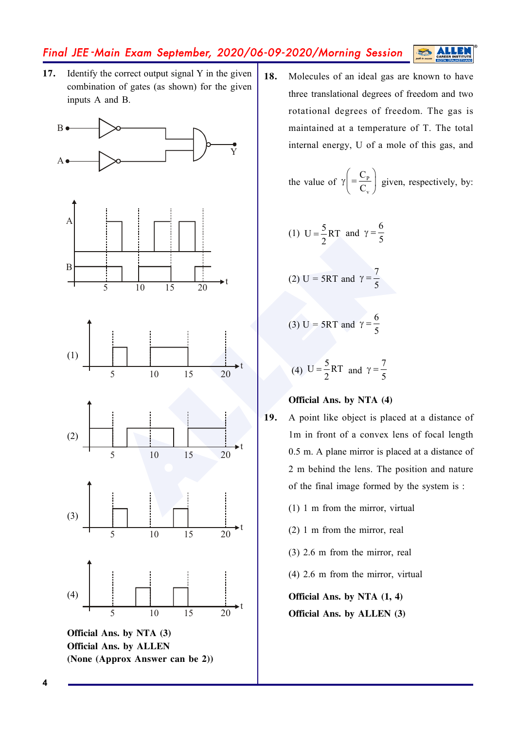**17.** Identify the correct output signal Y in the given combination of gates (as shown) for the given inputs A and B.



18. Molecules of an ideal gas are known to have three translational degrees of freedom and two rotational degrees of freedom. The gas is maintained at a temperature of T. The total internal energy, U of a mole of this gas, and

S

the value of 
$$
\gamma \left( = \frac{C_{P}}{C_{v}} \right)
$$
 given, respectively, by:

(1) 
$$
U = \frac{5}{2}RT
$$
 and  $\gamma = \frac{6}{5}$ 

(2) U = 5RT and 
$$
\gamma = \frac{7}{5}
$$

(3) U = 5RT and 
$$
\gamma = \frac{6}{5}
$$

(4) 
$$
U = \frac{5}{2}RT
$$
 and  $\gamma = \frac{7}{5}$ 

### **Official Ans. by NTA (4)**

- **19.** A point like object is placed at a distance of 1m in front of a convex lens of focal length 0.5 m. A plane mirror is placed at a distance of 2 m behind the lens. The position and nature of the final image formed by the system is :
	- (1) 1 m from the mirror, virtual
	- (2) 1 m from the mirror, real
	- (3) 2.6 m from the mirror, real
	- (4) 2.6 m from the mirror, virtual

**Official Ans. by NTA (1, 4)**

**Official Ans. by ALLEN (3)**